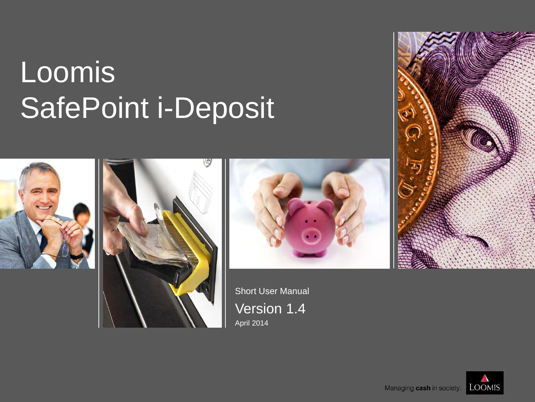# **Loomis** SafePoint i-Deposit







Short User Manual Version 1.4 April 2014



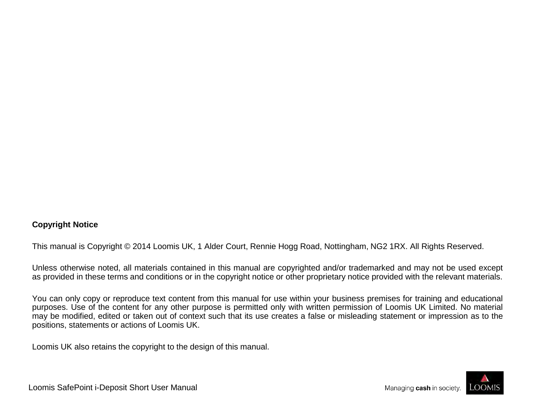### **Copyright Notice**

This manual is Copyright © 2014 Loomis UK, 1 Alder Court, Rennie Hogg Road, Nottingham, NG2 1RX. All Rights Reserved.

Unless otherwise noted, all materials contained in this manual are copyrighted and/or trademarked and may not be used except as provided in these terms and conditions or in the copyright notice or other proprietary notice provided with the relevant materials.

You can only copy or reproduce text content from this manual for use within your business premises for training and educational purposes. Use of the content for any other purpose is permitted only with written permission of Loomis UK Limited. No material may be modified, edited or taken out of context such that its use creates a false or misleading statement or impression as to the positions, statements or actions of Loomis UK.

Loomis UK also retains the copyright to the design of this manual.



Loomis SafePoint i-Deposit Short User Manual

Managing cash in society.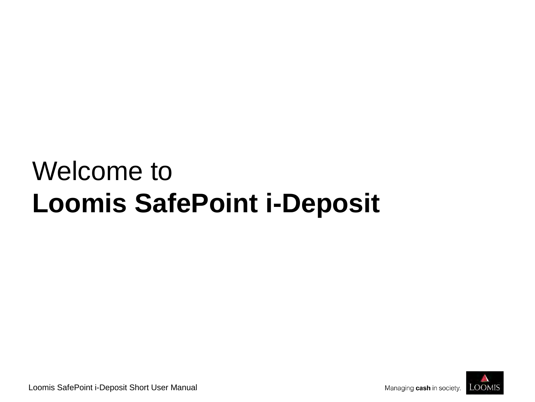# Welcome to **Loomis SafePoint i-Deposit**



Loomis SafePoint i-Deposit Short User Manual

Managing cash in society.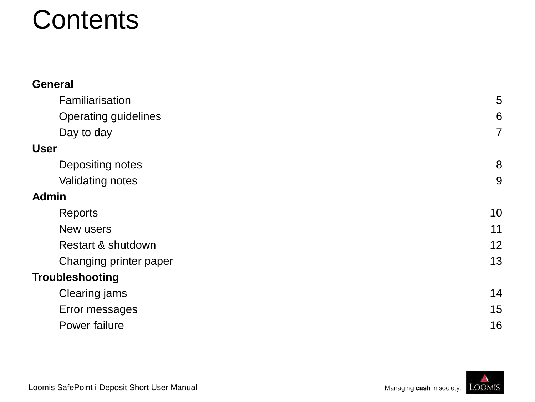### **Contents**

| <b>General</b>              |                |
|-----------------------------|----------------|
| Familiarisation             | 5              |
| <b>Operating guidelines</b> | 6              |
| Day to day                  | $\overline{7}$ |
| <b>User</b>                 |                |
| Depositing notes            | 8              |
| <b>Validating notes</b>     | 9              |
| <b>Admin</b>                |                |
| Reports                     | 10             |
| New users                   | 11             |
| Restart & shutdown          | 12             |
| Changing printer paper      | 13             |
| <b>Troubleshooting</b>      |                |
| Clearing jams               | 14             |
| Error messages              | 15             |
| Power failure               | 16             |

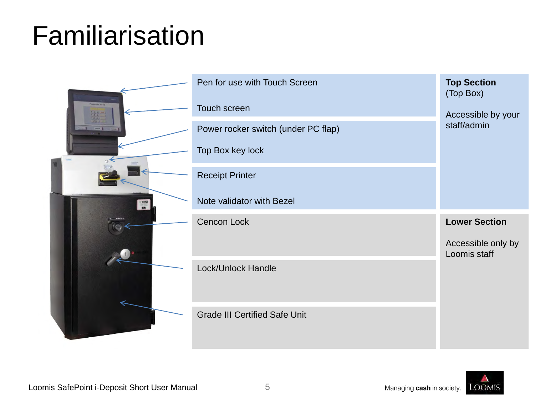## Familiarisation





**OOMIS**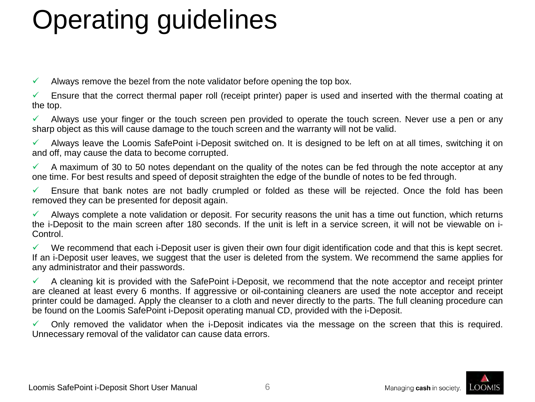# Operating guidelines

 $\checkmark$  Always remove the bezel from the note validator before opening the top box.

 $\checkmark$  Ensure that the correct thermal paper roll (receipt printer) paper is used and inserted with the thermal coating at the top.

 $\checkmark$  Always use your finger or the touch screen pen provided to operate the touch screen. Never use a pen or any sharp object as this will cause damage to the touch screen and the warranty will not be valid.

 $\checkmark$  Always leave the Loomis SafePoint i-Deposit switched on. It is designed to be left on at all times, switching it on and off, may cause the data to become corrupted.

 $\checkmark$  A maximum of 30 to 50 notes dependant on the quality of the notes can be fed through the note acceptor at any one time. For best results and speed of deposit straighten the edge of the bundle of notes to be fed through.

 Ensure that bank notes are not badly crumpled or folded as these will be rejected. Once the fold has been removed they can be presented for deposit again.

 Always complete a note validation or deposit. For security reasons the unit has a time out function, which returns the i-Deposit to the main screen after 180 seconds. If the unit is left in a service screen, it will not be viewable on i-Control.

 $\checkmark$  We recommend that each i-Deposit user is given their own four digit identification code and that this is kept secret. If an i-Deposit user leaves, we suggest that the user is deleted from the system. We recommend the same applies for any administrator and their passwords.

 A cleaning kit is provided with the SafePoint i-Deposit, we recommend that the note acceptor and receipt printer are cleaned at least every 6 months. If aggressive or oil-containing cleaners are used the note acceptor and receipt printer could be damaged. Apply the cleanser to a cloth and never directly to the parts. The full cleaning procedure can be found on the Loomis SafePoint i-Deposit operating manual CD, provided with the i-Deposit.

 Only removed the validator when the i-Deposit indicates via the message on the screen that this is required. Unnecessary removal of the validator can cause data errors.



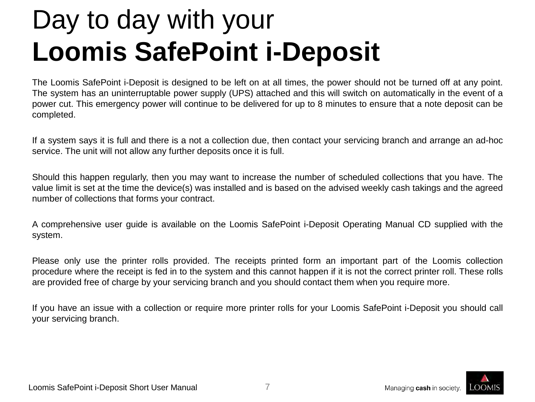# Day to day with your **Loomis SafePoint i-Deposit**

The Loomis SafePoint i-Deposit is designed to be left on at all times, the power should not be turned off at any point. The system has an uninterruptable power supply (UPS) attached and this will switch on automatically in the event of a power cut. This emergency power will continue to be delivered for up to 8 minutes to ensure that a note deposit can be completed.

If a system says it is full and there is a not a collection due, then contact your servicing branch and arrange an ad-hoc service. The unit will not allow any further deposits once it is full.

Should this happen regularly, then you may want to increase the number of scheduled collections that you have. The value limit is set at the time the device(s) was installed and is based on the advised weekly cash takings and the agreed number of collections that forms your contract.

A comprehensive user guide is available on the Loomis SafePoint i-Deposit Operating Manual CD supplied with the system.

Please only use the printer rolls provided. The receipts printed form an important part of the Loomis collection procedure where the receipt is fed in to the system and this cannot happen if it is not the correct printer roll. These rolls are provided free of charge by your servicing branch and you should contact them when you require more.

If you have an issue with a collection or require more printer rolls for your Loomis SafePoint i-Deposit you should call your servicing branch.

7

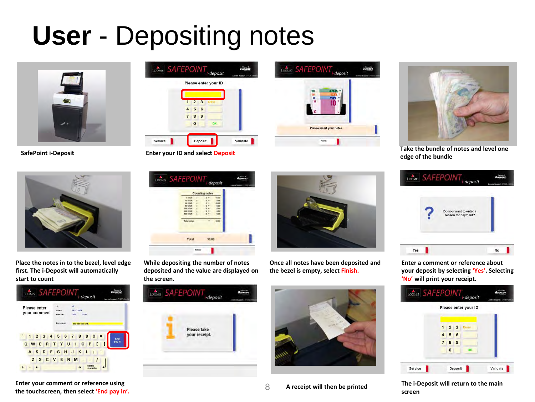## **User** - Depositing notes





**Place the notes in to the bezel, level edge first. The i-Deposit will automatically start to count**



**Enter your comment or reference using the touchscreen, then select 'End pay in'.** 8







**SafePoint i-Deposit Enter your ID and select Deposit Take the bundle of notes and level one Case of the bundle of notes and level one edge of the bundle**



**While depositing the number of notes deposited and the value are displayed on the screen.**

> Please take your receipt.

LOOMIS SAFEPOINT<sub>r-deposit</sub>



**Once all notes have been deposited and the bezel is empty, select Finish.**





**Enter a comment or reference about your deposit by selecting 'Yes'. Selecting 'No' will print your receipt.**

|                |             |   | Please enter your ID |  |
|----------------|-------------|---|----------------------|--|
| $\overline{1}$ | $2 \quad 3$ |   | Erase                |  |
| 4              | 5           | 6 |                      |  |
| $\overline{7}$ | 8           | 9 |                      |  |
|                | $\bf{0}$    |   | OK.                  |  |

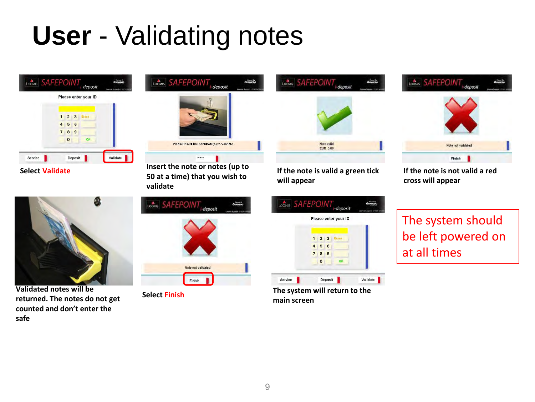## **User** - Validating notes





**Validated notes will be returned. The notes do not get counted and don't enter the safe**



**Select Validate Insert the note or notes (up to 50 at a time) that you wish to validate**

| LOONIS SAFEPOINT <sub>i-deposit</sub> | Liema Support - 01101143 |
|---------------------------------------|--------------------------|
|                                       |                          |
|                                       |                          |
| Note not validated                    |                          |
| Finish                                |                          |



**If the note is valid a green tick will appear**



**Select Finish The system will return to the main screen**



**If the note is not valid a red cross will appear**

The system should be left powered on at all times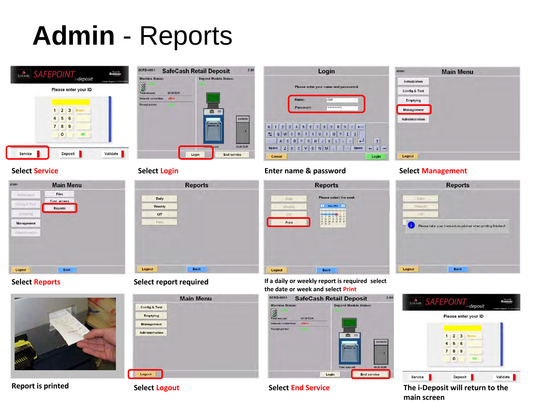### **Admin** - Reports















| Daily  |  |
|--------|--|
| Weekly |  |
| CIT    |  |
| Frim   |  |
|        |  |
|        |  |
|        |  |
|        |  |



### **Select Service Select Login Enter name & password Select Management**



**Select Reports Select report required If a daily or weekly report is required select the date or week and select Print**







### **Report is printed Select Logout Select End Service The i-Deposit will return to the main screen**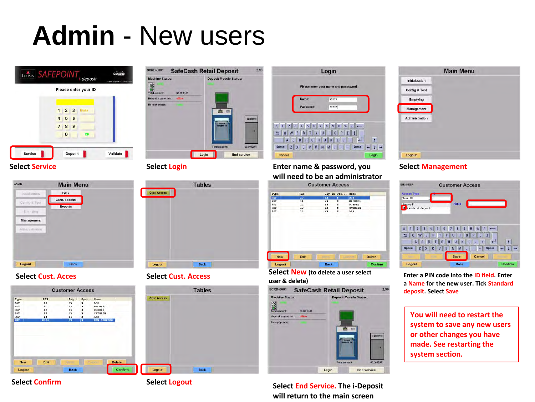### **Admin** - New users









**Select Confirm Select Logout** 







**Select Service Select Login Enter name & password, you will need to be an administrator**

| Type       | PAN |    | Pay in Spe | Name           |               |
|------------|-----|----|------------|----------------|---------------|
| <b>RST</b> | 10  | YH | ĸ          | <b>BOB</b>     |               |
| <b>RST</b> | 11  | YN | N          | <b>MICHAEL</b> |               |
| RST        | 12  | YN | u          | ROBBIE         |               |
| <b>RST</b> | 13  | YN | N          | CATHRIN        |               |
| <b>RST</b> | 14  | YN | N          | ANN            |               |
|            |     |    |            |                | <b>Delete</b> |
|            |     |    |            |                |               |

**Select Cust. Acces Select Cust. Access Select New (to delete a user select user & delete)**



**Select End Service. The i-Deposit will return to the main screen**



### **Select Management**

| <b>ENGINEER</b>                                      | <b>Customer Access</b>                                              |                            |
|------------------------------------------------------|---------------------------------------------------------------------|----------------------------|
| <b>Access Type</b><br>User ID                        |                                                                     |                            |
| Deposit<br>E tandard deposit                         | $\overline{2}$<br>Name                                              |                            |
| 3<br>$\overline{8}$<br>E<br>W<br>a<br>₩              | 5<br>6<br>$\mathbf{g}$<br>8<br>$\overline{R}$<br>Ÿ<br>U<br>$\bf{0}$ | $\bf{0}$<br>Р              |
| S<br>D<br>$\mathbf{A}$<br><b>Space</b><br>$Z \mid X$ | G<br>н<br>K<br>F<br>B<br>$\overline{V}$<br>N<br>M                   | <b>Space</b>               |
| <b>Louise</b>                                        | C<br>Save                                                           | Cancel<br><b>Statement</b> |
| Logout                                               | <b>Back</b>                                                         | Confirm                    |

**Enter a PIN code into the ID field. Enter a Name for the new user. Tick Standard deposit. Select Save**

**You will need to restart the system to save any new users or other changes you have made. See restarting the system section.**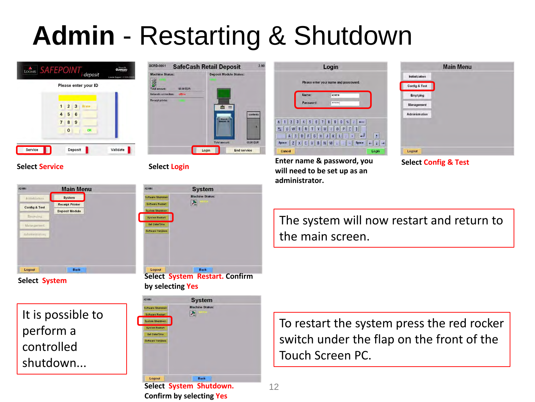# **Admin** - Restarting & Shutdown





### **Select Service Select Login**



It is possible to perform a controlled shutdown...



**Select System Select System Restart. Confirm by selecting Yes**



**Confirm by selecting Yes**



**Enter name & password, you will need to be set up as an administrator.**



**Select Config & Test**

The system will now restart and return to the main screen.

To restart the system press the red rocker switch under the flap on the front of the Touch Screen PC.

12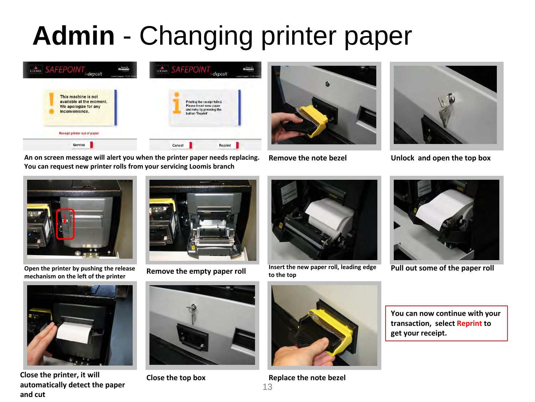# **Admin** - Changing printer paper



**An on screen message will alert you when the printer paper needs replacing. You can request new printer rolls from your servicing Loomis branch**





**Remove the note bezel Unlock and open the top box**



**Open the printer by pushing the release mechanism on the left of the printer**





**Remove the empty paper roll Insert the new paper roll, leading edge to the top**



**Pull out some of the paper roll**



**Close the printer, it will automatically detect the paper and cut**





**Close the top box Replace the note bezel**

13

**You can now continue with your transaction, select Reprint to get your receipt.**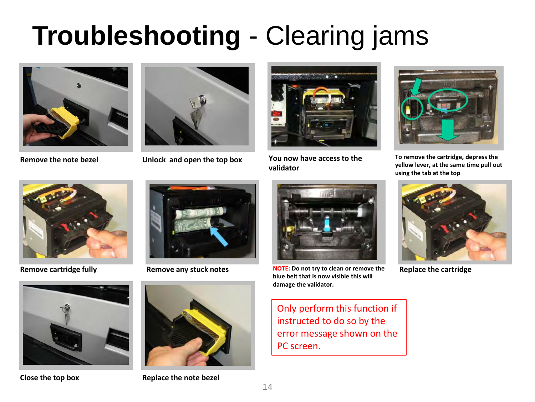# **Troubleshooting** - Clearing jams





**Remove the note bezel Unlock and open the top box**



**You now have access to the validator**



**To remove the cartridge, depress the yellow lever, at the same time pull out using the tab at the top** 









**Close the top box Replace the note bezel**



**Remove cartridge fully <b>Remove any stuck notes NOTE:** Do not try to clean or remove the **blue belt that is now visible this will damage the validator.**

Only perform this function if instructed to do so by the error message shown on the PC screen.



**Replace the cartridge**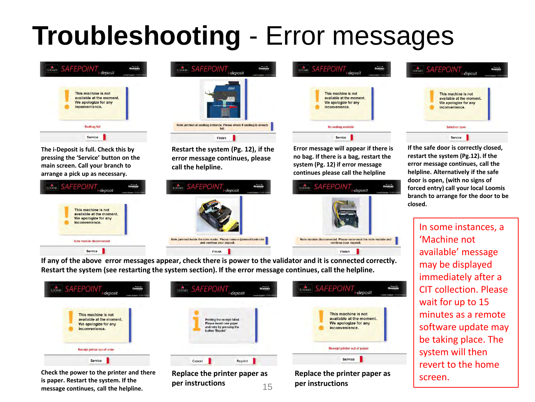# **Troubleshooting** - Error messages



**The i-Deposit is full. Check this by pressing the 'Service' button on the main screen. Call your branch to arrange a pick up as necessary.**





**Restart the system (Pg. 12), if the error message continues, please call the helpline.**



LOOMIS SAFEPOINT<sub>i-deposit</sub>

This machine is not

We apologize for any

No sealbag available

Service

nodule disconnected. Please reconnect the note module and

continue your deposit.

Finish

*<u>inconvenience</u>* 

available at the moment.

**If any of the above error messages appear, check there is power to the validator and it is connected correctly. Restart the system (see restarting the system section). If the error message continues, call the helpline.**

Finish

| LOOMIS SAFEPOINT             | LOOMIS SAFEPOINT             | LOOMIS SAFEPOINT <sub>i-deposit</sub> |
|------------------------------|------------------------------|---------------------------------------|
| <b>GUNNEBO</b>               | GUNNERO                      | GUNNERO                               |
| Loanis Support -01820-2366   | Logrie Support: (1110) 42    | Loom's Support - 01920-43             |
| This machine is not          | Printing the receipt failed. | This machine is not                   |
| available at the moment.     | Please insert new paper      | available at the moment.              |
| We apologize for any         | and retry by pressing the    | We apologize for any                  |
| inconvenience.               | button 'Reprint'             | inconvenience.                        |
| Receipt printer out of order |                              | Receipt printer out of paper          |
| Service                      | Reprint<br>Cancel            | Service                               |

**Check the power to the printer and there is paper. Restart the system. If the message continues, call the helpline.**

**Replace the printer paper as per instructions** 15 **Replace the printer paper as per instructions**

|--|--|

**error message continues, call the helpline. Alternatively if the safe door is open, (with no signs of forced entry) call your local Loomis branch to arrange for the door to be closed.**

> In some instances, a 'Machine not available' message may be displayed immediately after a CIT collection. Please wait for up to 15 minutes as a remote software update may be taking place. The system will then revert to the home screen.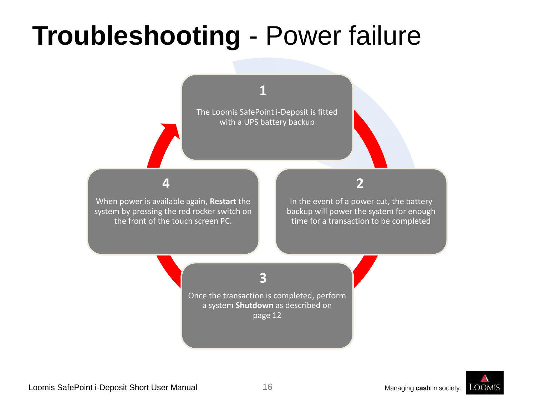# **Troubleshooting** - Power failure

**1**

The Loomis SafePoint i-Deposit is fitted with a UPS battery backup

### **4**

When power is available again, **Restart** the system by pressing the red rocker switch on the front of the touch screen PC.

### **2**

In the event of a power cut, the battery backup will power the system for enough time for a transaction to be completed

### **3**

Once the transaction is completed, perform a system **Shutdown** as described on page 12

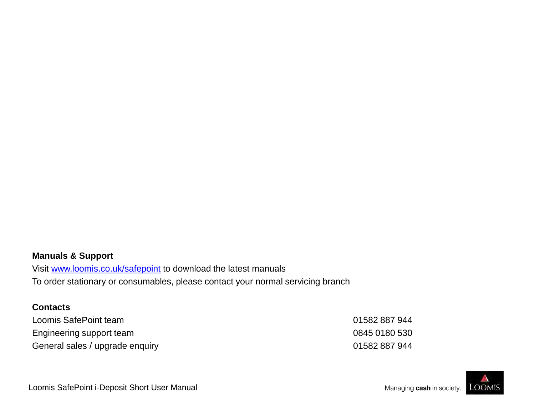### **Manuals & Support**

Visit [www.loomis.co.uk/safepoint](http://www.loomis.co.uk/safepoint) to download the latest manuals To order stationary or consumables, please contact your normal servicing branch

### **Contacts**

| Loomis SafePoint team           | 01582 887 944 |
|---------------------------------|---------------|
| Engineering support team        | 0845 0180 530 |
| General sales / upgrade enquiry | 01582 887 944 |



Loomis SafePoint i-Deposit Short User Manual